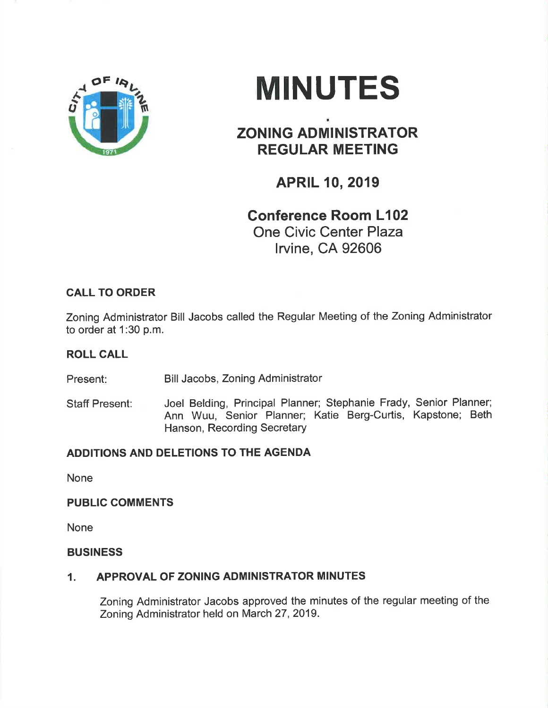

# **MINUTES**

# ZONING ADMINISTRATOR REGULAR MEETING

## APRIL 10, 2019

## Gonference Room L102 One Civic Center Plaza

lrvine, CA 92606

## CALL TO ORDER

Zoning Administrator Bill Jacobs called the Regular Meeting of the Zoning Administrator to order at 1:30 p.m.

### ROLL CALL

Present: Bill Jacobs, Zoning Administrator

Staff Present: Joel Belding, Principal Planner; Stephanie Frady, Senior Planner; Ann Wuu, Senior Planner; Katie Berg-Curtis, Kapstone; Beth Hanson, Recording Secretary

### ADDITIONS AND DELETIONS TO THE AGENDA

None

#### PUBLIC COMMENTS

None

#### BUSINESS

#### 1. APPROVAL OF ZONING ADMINISTRATOR MINUTES

Zoning Administrator Jacobs approved the minutes of the regular meeting of the Zoning Administrator held on March 27,2019.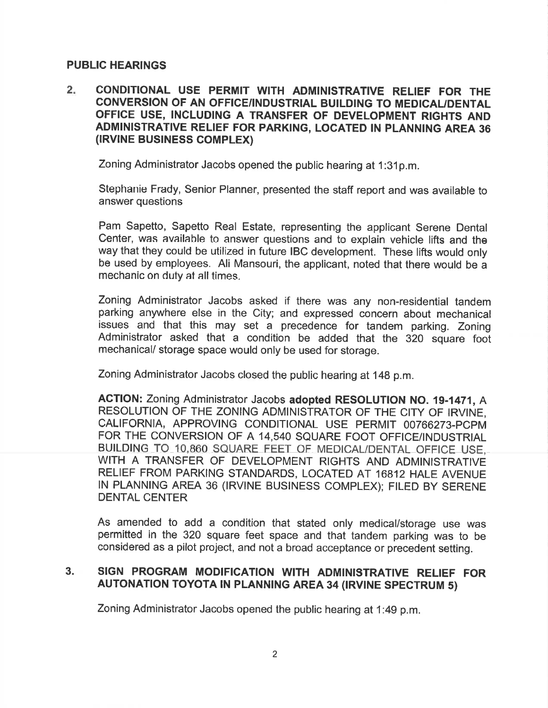#### PUBLIC HEARINGS

 $2<sub>1</sub>$ CONDITIONAL USE PERMIT WITH ADMINISTRATIVE RELIEF FOR THE CONVERSION OF AN OFFICE/INDUSTRIAL BUILDING TO MEDICAUDENTAL OFFICE USE, INCLUDING A TRANSFER OF DEVELOPMENT RIGHTS AND ADMINISTRATIVE RELIEF FOR PARKING, LOCATED IN PLANNING AREA 36 (IRVINE BUSINESS COMPLEX)

Zoning Administrator Jacobs opened the public hearing at 1:31p.m.

Stephanie Frady, Senior Planner, presented the staff report and was available to answer questions

Pam Sapetto, Sapetto Real Estate, representing the applicant Serene Dental Center, was available to answer questions and to explain vehicle lifts and the way that they could be utilized in future IBC development. These lifts would only be used by employees. Ali Mansouri, the applicant, noted that there would be a mechanic on duty at all times.

Zoning Administrator Jacobs asked if there was any non-residential tandem parking anywhere else in the City; and expressed concern about mechanical issues and that this may set a precedence for tandem parking. Zoning Administrator asked that a condition be added that the 320 square foot mechanical/ storage space would only be used for storage.

Zoning Administrator Jacobs closed the public hearing at 148 p.m.

ACTION: Zoning Administrator Jacobs adopted RESOLUTION NO. 19-1471, A RESOLUTION OF THE ZONING ADMINISTRATOR OF THE CITY OF IRVINE, CALIFORNIA, APPROVING CONDITIONAL USE PERMIT OO766273.PCPM FOR THE CONVERSION OF A 14,540 SQUARE FOOT OFFICE/INDUSTRIAL BUILDING TO 10,860 SQUARE FEET OF MEDICAL/DENTAL OFFICE USE, WITH A TRANSFER OF DEVELOPMENT RIGHTS AND ADMINISTRATIVE RELIEF FROM PARKING STANDARDS, LOCATED AT 16812 HALE AVENUE IN PLANNING AREA 36 (IRVINE BUSINESS COMPLEX); FILED BY SERENE DENTAL CENTER

As amended to add a condition that stated only medical/storage use was permitted in the 320 square feet space and that tandem parking was to be considered as a pilot project, and not a broad acceptance or precedent setting.

#### SIGN PROGRAM MODIFICATION WITH ADMINISTRATIVE RELIEF FOR AUTONATION TOYOTA IN PLANNING AREA 34 (IRVINE SPECTRUM 5) 3.

Zoning Administrator Jacobs opened the public hearing at 1:49 p.m.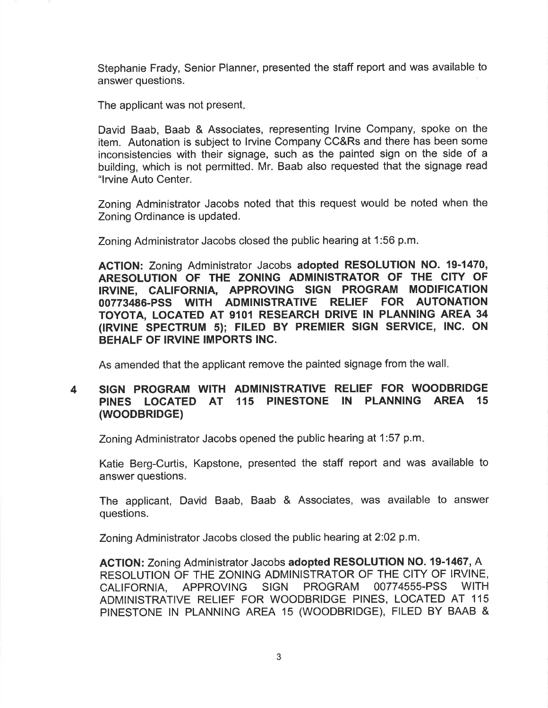Stephanie Frady, Senior Planner, presented the staff report and was available to answer questions.

The applicant was not present

David Baab, Baab & Associates, representing lrvine Company, spoke on the item. Autonation is subject to lrvine Company CC&Rs and there has been some inconsistencies with their signage, such as the painted sign on the side of a building, which is not permitted. Mr. Baab also requested that the signage read "lryine Auto Center.

Zoning Administrator Jacobs noted that this request would be noted when the Zoning Ordinance is updated.

Zoning Administrator Jacobs closed the public hearing at 1:56 p.m

ACTION: Zoning Administrator Jacobs adopted RESOLUTION NO. 19-1470, ARESOLUTION OF THE ZONING ADMINISTRATOR OF THE CITY OF IRVINE. CALIFORNIA. APPROVING SIGN PROGRAM MODIFICATION IRVINE, CALIFORNIA, APPROVING SIGN PROGRAM 00773486-PSS WITH ADMINISTRATIVE RELIEF FOR AUTONATION TOYOTA, LOCATED AT 9101 RESEARCH DRIVE IN PLANNING AREA 34 (lRVlNE SPECTRUM 5); FILED BY PREMIER SIGN SERVICE, lNC. ON BEHALF OF IRVINE IMPORTS INC.

As amended that the applicant remove the painted signage from the wall

#### 4 SIGN PROGRAM WITH ADMINISTRATIVE RELIEF FOR WOODBRIDGE PINES LOCATED AT 115 PINESTONE IN PLANNING AREA 15 (wooDBRlDGE)

Zoning Administrator Jacobs opened the public hearing at 1:57 p.m

Katie Berg-Curtis, Kapstone, presented the staff report and was available to answer questions.

The applicant, David Baab, Baab & Associates, was available to answer questions.

Zoning Administrator Jacobs closed the public hearing at 2:02 p.m.

ACTION: Zoning Administrator Jacobs adopted RESOLUTION NO. 19-1467, A RESOLUTION OF THE ZONING ADMINISTRATOR OF THE CITY OF IRVINE, CALIFORNIA, APPROVING SIGN PROGRAM OO774555.PSS WITH ADMINISTRATIVE RELIEF FOR WOODBRIDGE PINES, LOCATED AT <sup>115</sup> PINESTONE IN PLANNING AREA 15 (WOODBRIDGE), FILED BY BAAB &